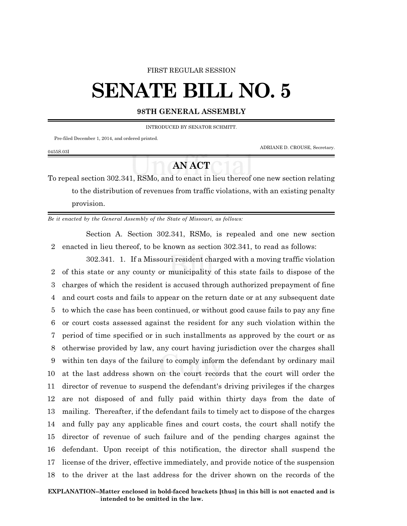#### FIRST REGULAR SESSION

# **SENATE BILL NO. 5**

### **98TH GENERAL ASSEMBLY**

INTRODUCED BY SENATOR SCHMITT.

Pre-filed December 1, 2014, and ordered printed.

0455S.03I

ADRIANE D. CROUSE, Secretary.

## **AN ACT**

To repeal section 302.341, RSMo, and to enact in lieu thereof one new section relating to the distribution of revenues from traffic violations, with an existing penalty provision.

*Be it enacted by the General Assembly of the State of Missouri, as follows:*

Section A. Section 302.341, RSMo, is repealed and one new section 2 enacted in lieu thereof, to be known as section 302.341, to read as follows:

302.341. 1. If a Missouri resident charged with a moving traffic violation of this state or any county or municipality of this state fails to dispose of the charges of which the resident is accused through authorized prepayment of fine and court costs and fails to appear on the return date or at any subsequent date to which the case has been continued, or without good cause fails to pay any fine or court costs assessed against the resident for any such violation within the period of time specified or in such installments as approved by the court or as otherwise provided by law, any court having jurisdiction over the charges shall within ten days of the failure to comply inform the defendant by ordinary mail at the last address shown on the court records that the court will order the director of revenue to suspend the defendant's driving privileges if the charges are not disposed of and fully paid within thirty days from the date of mailing. Thereafter, if the defendant fails to timely act to dispose of the charges and fully pay any applicable fines and court costs, the court shall notify the director of revenue of such failure and of the pending charges against the defendant. Upon receipt of this notification, the director shall suspend the license of the driver, effective immediately, and provide notice of the suspension to the driver at the last address for the driver shown on the records of the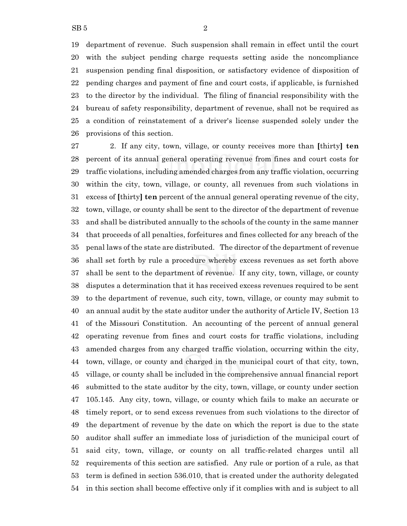department of revenue. Such suspension shall remain in effect until the court with the subject pending charge requests setting aside the noncompliance suspension pending final disposition, or satisfactory evidence of disposition of pending charges and payment of fine and court costs, if applicable, is furnished to the director by the individual. The filing of financial responsibility with the bureau of safety responsibility, department of revenue, shall not be required as a condition of reinstatement of a driver's license suspended solely under the provisions of this section.

 2. If any city, town, village, or county receives more than **[**thirty**] ten** percent of its annual general operating revenue from fines and court costs for traffic violations, including amended charges from any traffic violation, occurring within the city, town, village, or county, all revenues from such violations in excess of **[**thirty**] ten** percent of the annual general operating revenue of the city, town, village, or county shall be sent to the director of the department of revenue and shall be distributed annually to the schools of the county in the same manner that proceeds of all penalties, forfeitures and fines collected for any breach of the penal laws of the state are distributed. The director of the department of revenue shall set forth by rule a procedure whereby excess revenues as set forth above shall be sent to the department of revenue. If any city, town, village, or county disputes a determination that it has received excess revenues required to be sent to the department of revenue, such city, town, village, or county may submit to an annual audit by the state auditor under the authority of Article IV, Section 13 of the Missouri Constitution. An accounting of the percent of annual general operating revenue from fines and court costs for traffic violations, including amended charges from any charged traffic violation, occurring within the city, town, village, or county and charged in the municipal court of that city, town, village, or county shall be included in the comprehensive annual financial report submitted to the state auditor by the city, town, village, or county under section 105.145. Any city, town, village, or county which fails to make an accurate or timely report, or to send excess revenues from such violations to the director of the department of revenue by the date on which the report is due to the state auditor shall suffer an immediate loss of jurisdiction of the municipal court of said city, town, village, or county on all traffic-related charges until all requirements of this section are satisfied. Any rule or portion of a rule, as that term is defined in section 536.010, that is created under the authority delegated in this section shall become effective only if it complies with and is subject to all